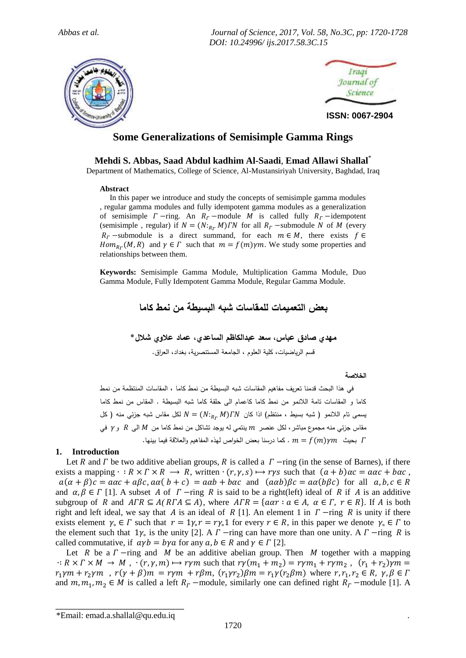*Abbas et al. Journal of Science, 2017, Vol. 58, No.3C, pp: 1720-1728 DOI: 10.24996/ ijs.2017.58.3C.15*





**ISSN: 0067-2904**

# **Some Generalizations of Semisimple Gamma Rings**

**Mehdi S. Abbas, Saad Abdul kadhim Al-Saadi**, **Emad Allawi Shallal**\*

Department of Mathematics, College of Science, Al-Mustansiriyah University, Baghdad, Iraq

## **Abstract**

 In this paper we introduce and study the concepts of semisimple gamma modules , regular gamma modules and fully idempotent gamma modules as a generalization of semisimple  $\Gamma$  -ring. An  $R_\Gamma$  -module M is called fully  $R_\Gamma$  -idempotent (semisimple, regular) if  $N = (N:_{R_r} M) \Gamma N$  for all  $R_r$  -submodule N of M (every  $R_r$  -submodule is a direct summand, for each  $m \in M$ , there exists  $f \in$  $Hom_{R_r}(M, R)$  and  $\gamma \in \Gamma$  such that  $m = f(m)\gamma m$ . We study some properties and relationships between them.

**Keywords:** Semisimple Gamma Module, Multiplication Gamma Module, Duo Gamma Module, Fully Idempotent Gamma Module, Regular Gamma Module.

**بعض التعميمات للمقاسات شبه البسيطة من نمط كاما**

**مهدي صادق عباس، سعد عبدالكاظم الساعدي، عماد عالوي شالل\*** قسم الرياضيات، كلية العلوم ، الجامعة المستنصرية، بغداد، العراق.

**الخالصة**

 في هذا البحث قدمنا تعريف مفاهيم المقاسات شبه البسيطة من نمط كاما ، المقاسات المنتظمة من نمط كاما و المقاسات تامة الالنمو من نمط كاما كاعمام الى حلقة كاما شبه البسيطة . المقاس من نمط كاما  $N = (N:_{B_{T}} M) / N$  يسمى تام اللانمو ( شبه بسيط ، منتظم) اذا كان  $N = (N:_{B_{T}} M) / N$  لكل مقاس شبه جزئي منه ( كل مقاس جزئي منه مجموع مباشر ، لكل عنصر  $m$  ينتمي له يوجد تشاكل من نمط كاما من  $M$  الى  $R$  و  $\gamma$  في بحيث  $m = f(m)\gamma m$  . كما درسنا بعض الخواص لهذه المفاهيم والعلاقة فيما بينها.

# **1. Introduction**

Let R and  $\Gamma$  be two additive abelian groups, R is called a  $\Gamma$  -ring (in the sense of Barnes), if there exists a mapping  $\cdot : R \times \Gamma \times R \longrightarrow R$ , written  $\cdot (r, \gamma, s) \mapsto r\gamma s$  such that  $(a + b)\alpha c = a\alpha c + b\alpha c$ ,  $a(\alpha + \beta)c = a\alpha c + a\beta c$ ,  $a\alpha(b + c) = a\alpha b + b\alpha c$  and  $(a\alpha b)\beta c = a\alpha(b\beta c)$  for all  $a, b, c \in R$ and  $\alpha, \beta \in \Gamma$  [1]. A subset A of  $\Gamma$  -ring R is said to be a right(left) ideal of R if A is an additive subgroup of R and  $ATR \subseteq A(RTA \subseteq A)$ , where  $ATR = \{a\alpha r : a \in A, \alpha \in \Gamma, r \in R\}$ . If A is both right and left ideal, we say that A is an ideal of R [1]. An element 1 in  $\Gamma$  -ring R is unity if there exists element  $\gamma_0 \in \Gamma$  such that  $r = 1\gamma_0 r = r\gamma_0 1$  for every  $r \in R$ , in this paper we denote  $\gamma_0 \in \Gamma$  to the element such that  $1\gamma_0$  is the unity [2]. A  $\Gamma$  -ring can have more than one unity. A  $\Gamma$  -ring R is called commutative, if  $\alpha y b = b \gamma a$  for any  $a, b \in R$  and  $\gamma \in \Gamma$  [2].

Let R be a  $\Gamma$ -ring and M be an additive abelian group. Then M together with a mapping  $\cdot: R \times \Gamma \times M \to M$ ,  $\cdot (r, \gamma, m) \mapsto r\gamma m$  such that  $r\gamma(m_1 + m_2) = r\gamma m_1 + r\gamma m_2$ ,  $(r_1 + r_2)$  $r_1 \gamma m + r_2 \gamma m$ ,  $r(\gamma + \beta)m = r \gamma m + r \beta m$ ,  $(r_1 \gamma r_2) \beta m = r_1 \gamma (r_2 \beta m)$  where r and  $m_1, m_2 \in M$  is called a left  $R_r$  –module, similarly one can defined right  $R_r$  –module [1]. A

\_\_\_\_\_\_\_\_\_\_\_\_\_\_\_\_\_\_\_\_\_\_\_\_\_\_\_\_\_\_ \*Email: emad.a.shallal@qu.edu.iq .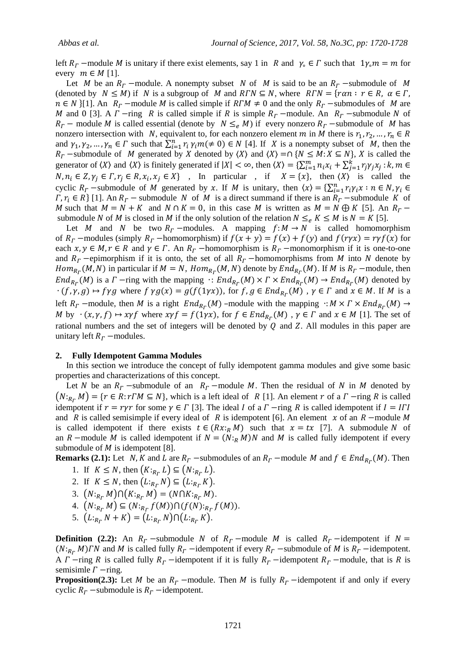left  $R_r$  –module M is unitary if there exist elements, say 1 in R and  $\gamma_c \in \Gamma$  such that  $1\gamma_c m = m$  for every  $m \in M$  [1].

Let M be an  $R_r$  –module. A nonempty subset N of M is said to be an  $R_r$  –submodule of M (denoted by  $N \leq M$ ) if N is a subgroup of M and  $RTN \subseteq N$ , where  $RTN = \{ ran : r \in R, \alpha \in \Gamma,$  $n \in N$  [1]. An  $R_r$  –module M is called simple if  $R\Gamma M \neq 0$  and the only  $R_r$  –submodules of M are M and 0 [3]. A  $\Gamma$  -ring R is called simple if R is simple  $R_\Gamma$  -module. An  $R_\Gamma$  -submodule N of  $R_r$  – module M is called essential (denote by  $N \leq_e M$ ) if every nonzero  $R_r$  –submodule of M has nonzero intersection with N, equivalent to, for each nonzero element m in M there is  $r_1, r_2, ..., r_n \in R$ and  $\gamma_1, \gamma_2, ..., \gamma_n \in \Gamma$  such that  $\sum_{i=1}^n r_i \gamma_i m (\neq 0) \in N$  [4]. If X is a nonempty subset of M, then the  $R_r$  -submodule of M generated by X denoted by  $\langle X \rangle$  and  $\langle X \rangle = \cap \{N \le M : X \subseteq N\}$ , X is called the generator of  $\langle X \rangle$  and  $\langle X \rangle$  is finitely generated if  $|X| < \infty$ , then  $\langle X \rangle = \sum_{i=1}^{m} n_i x_i + \sum_{j=1}^{k} r_j \gamma_j x_j$ :  $N, n_i \in \mathbb{Z}, \gamma_i \in \Gamma, r_i \in \mathbb{R}, x_i, x_j \in \mathbb{X}$ , In particular, if  $X = \{x\}$ , then  $\langle X \rangle$  is called the cyclic  $R_r$  -submodule of M generated by x. If M is unitary, then  $\langle x \rangle = \sum_{i=1}^n r_i$  $\Gamma$ ,  $r_i \in R$  [1]. An  $R_r$  – submodule N of M is a direct summand if there is an  $R_r$  –submodule K of M such that  $M = N + K$  and  $N \cap K = 0$ , in this case M is written as  $M = N \oplus K$  [5]. An  $R<sub>\Gamma</sub>$  submodule N of M is closed in M if the only solution of the relation  $N \leq_{\rho} K \leq M$  is  $N = K$  [5].

Let M and N be two  $R_r$  -modules. A mapping  $f: M \to N$  is called homomorphism of  $R_r$  –modules (simply  $R_r$  –homomorphism) if  $f(x + y) = f(x) + f(y)$  and  $f(ryx) = ryf(x)$  for each  $x, y \in M, r \in R$  and  $\gamma \in \Gamma$ . An  $R_r$  -homomorphism is  $R_r$  -monomorphism if it is one-to-one and  $R_r$  -epimorphism if it is onto, the set of all  $R_r$  -homomorphisms from M into N denote by  $Hom_{R_r}(M, N)$  in particular if  $M = N$ ,  $Hom_{R_r}(M, N)$  denote by  $End_{R_r}(M)$ . If M is  $R_r$  –module, then  $End_{R_r}(M)$  is a  $\Gamma$  -ring with the mapping  $\cdot: End_{R_r}(M) \times \Gamma \times End_{R_r}(M) \to End_{R_r}(M)$  denoted by  $\cdot$  (f,  $\gamma$ , g)  $\mapsto$  fyg where f  $\gamma g(x) = g(f(1\gamma x))$ , for f,  $g \in End_{R_r}(M)$ ,  $\gamma \in \Gamma$  and  $x \in M$ . If M is a left  $R_r$  –module, then M is a right  $End_{R_r}(M)$  –module with the mapping  $\cdot : M \times \Gamma \times End_{R_r}(M)$ M by  $\cdot (x, \gamma, f) \mapsto xyf$  where  $xyf = f(1\gamma x)$ , for  $f \in End_{R_r}(M)$ ,  $\gamma \in \Gamma$  and  $x \in M$  [1]. The set of rational numbers and the set of integers will be denoted by  $Q$  and  $Z$ . All modules in this paper are unitary left  $R_r$  –modules.

## **2. Fully Idempotent Gamma Modules**

 In this section we introduce the concept of fully idempotent gamma modules and give some basic properties and characterizations of this concept.

Let N be an  $R_r$  -submodule of an  $R_r$  -module M. Then the residual of N in M denoted by  $(N:_{R_r} M) = \{r \in R : rTM \subseteq N\}$ , which is a left ideal of R [1]. An element r of a  $\Gamma$  -ring R is called idempotent if  $r = r\gamma r$  for some  $\gamma \in \Gamma$  [3]. The ideal I of a  $\Gamma$  -ring R is called idempotent if  $I = I\Gamma I$ and R is called semisimple if every ideal of R is idempotent [6]. An element  $x$  of an R –module M is called idempotent if there exists  $t \in (Rx:_{R} M)$  such that  $x = tx$  [7]. A submodule N of an R –module M is called idempotent if  $N = (N:_{R} M)N$  and M is called fully idempotent if every submodule of  $M$  is idempotent [8].

**Remarks** (2.1): Let N, K and L are  $R_r$  -submodules of an  $R_r$  -module M and  $f \in End_{R_r}(M)$ . Then

- 1. If  $K \leq N$ , then  $(K:_{R_r} L) \subseteq (N:_{R_r} L)$ .
- 2. If  $K \leq N$ , then  $(L:_{R_r} N) \subseteq (L:_{R_r} K)$ .
- 3.  $(N:_{R_r} M)\cap (K:_{R_r} M) = (N\cap K:_{R_r} M).$
- 4.  $(N:_{R_r} M) \subseteq (N:_{R_r} f(M)) \cap (f(N):_{R_r} f(M)).$
- 5.  $(L:_{R_r} N + K) = (L:_{R_r} N) \cap (L:_{R_r} K)$ .

**Definition** (2.2): An  $R_r$  -submodule N of  $R_r$  -module M is called  $R_r$  -idempotent if  $N =$  $(N:_{R_r} M)$  and M is called fully  $R_r$  -idempotent if every  $R_r$  -submodule of M is  $R_r$  -idempotent. A  $\Gamma$  -ring R is called fully  $R_{\Gamma}$  -idempotent if it is fully  $R_{\Gamma}$  -idempotent  $R_{\Gamma}$  -module, that is R is semisimle  $\Gamma$  -ring.

**Proposition(2.3):** Let M be an  $R_r$  –module. Then M is fully  $R_r$  –idempotent if and only if every cyclic  $R_r$  -submodule is  $R_r$  -idempotent.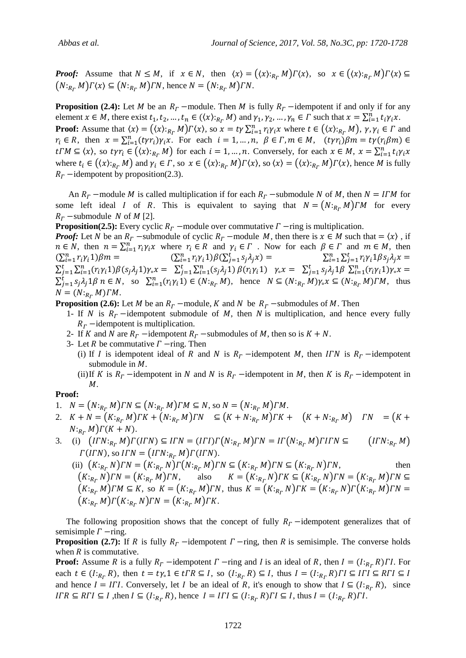**Proof:** Assume that  $N \leq M$ , if  $x \in N$ , then  $\langle x \rangle = (\langle x \rangle :_{R_r} M) \Gamma \langle x \rangle$ , so  $x \in (\langle x \rangle :_{R_r} M) \Gamma \langle x \rangle \subseteq$  $(N:_{R_r} M)\Gamma(x) \subseteq (N:_{R_r} M)\Gamma N$ , hence  $N = (N:_{R_r} M)\Gamma N$ .

**Proposition** (2.4): Let M be an  $R_r$  –module. Then M is fully  $R_r$  –idempotent if and only if for any element  $x \in M$ , there exist  $t_1, t_2, ..., t_n \in (\langle x \rangle_{R_r} M)$  and  $\gamma_1, \gamma_2, ..., \gamma_n \in \Gamma$  such that  $x = \sum_{i=1}^n t_i \gamma_i x$ . **Proof:** Assume that  $\langle x \rangle = (\langle x \rangle_{R_r} M) \Gamma \langle x \rangle$ , so  $x = t \gamma \sum_{i=1}^n r_i \gamma_i x$  where  $t \in (\langle x \rangle_{R_r} M)$ ,  $\gamma, \gamma_i \in \Gamma$  and  $r_i \in R$ , then  $x = \sum_{i=1}^n (t \gamma r_i) \gamma_i x$ . For each  $i = 1, ..., n, \beta \in \Gamma, m \in M$ ,  $t\Gamma M \subseteq \langle x \rangle$ , so  $t\gamma r_i \in ((x):_{R_{\Gamma}} M)$  for each  $i = 1, ..., n$ . Conversely, for each  $x \in M$ ,  $x = \sum_{i=1}^{n} t$ where  $t_i \in ((x) :_{R_r} M)$  and  $\gamma_i \in \Gamma$ , so  $x \in ((x) :_{R_r} M) \Gamma(x)$ , so  $\langle x \rangle = ((x) :_{R_r} M) \Gamma(x)$ , hence M is fully  $R<sub>r</sub>$  -idempotent by proposition(2.3).

An  $R_r$  –module M is called multiplication if for each  $R_r$  –submodule N of M, then  $N = I r M$  for some left ideal I of R. This is equivalent to saying that  $N = (N:_{R_r} M)TM$  for every  $R_r$  –submodule N of M [2].

**Proposition(2.5):** Every cyclic  $R_r$  –module over commutative  $\Gamma$  –ring is multiplication.

*Proof:* Let N be an  $R_r$  –submodule of cyclic  $R_r$  –module M, then there is  $x \in M$  such that  $= \langle x \rangle$ , if  $n \in N$ , then  $n = \sum_{i=1}^{n} r_i \gamma_i x$  where  $r_i \in R$  and  $\gamma_i \in \Gamma$ . Now for each  $\beta \in \Gamma$  and  $m \in M$ , then  $(\sum_{i=1}^{n} r_i \gamma_i 1) \beta m = \sum_{i=1}^{n} r_i \gamma_i 1) \beta (\sum_{j=1}^{t} s_j \lambda_j x) = \sum_{i=1}^{n} \sum_{j=1}^{t} r_i$  $\sum_{j=1}^{t} \sum_{i=1}^{n} (r_i \gamma_i 1) \beta(s_j \lambda_j 1) \gamma_{\circ} x = \sum_{j=1}^{t} \sum_{i=1}^{n} (s_j \lambda_j 1) \beta(r_i \gamma_i 1) \gamma_{\circ} x = \sum_{j=1}^{t} s_j \lambda_j 1 \beta \sum_{i=1}^{n} (s_j \lambda_i 1) \gamma_{\circ} x$  $\sum_{j=1}^t s_j \lambda_j 1 \beta \ n \in N$ , so  $\sum_{i=1}^n (r_i \gamma_i 1) \in (N:_{R_r} M)$ , hence  $N \subseteq (N:_{R_r} M) \gamma_s x \subseteq (N:_{R_r} M) \Gamma M$ , thus  $N = (N:_{R_r} M) \Gamma M$ .

**Proposition (2.6):** Let M be an  $R_r$  –module, K and N be  $R_r$  –submodules of M. Then

- 1- If N is  $R_r$  -idempotent submodule of M, then N is multiplication, and hence every fully  $R<sub>r</sub>$  -idempotent is multiplication.
- 2- If K and N are  $R_r$  -idempotent  $R_r$  -submodules of M, then so is  $K + N$ .
- 3- Let R be commutative  $\Gamma$  -ring. Then
	- (i) If I is idempotent ideal of R and N is  $R_r$  -idempotent M, then ITN is  $R_r$  -idempotent submodule in  $M$ .
	- (ii) If K is  $R_r$  -idempotent in N and N is  $R_r$  -idempotent in M, then K is  $R_r$  -idempotent in М.

### **Proof:**

- 1.  $N = ( N:_{R_r} M ) \Gamma N \subseteq ( N:_{R_r} M ) \Gamma M \subseteq N$ , so  $N = ( N:_{R_r} M ) \Gamma M$ .
- 2.  $K + N = (K:_{R_F} M) \Gamma K + (N:_{R_F} M) \Gamma N \subseteq (K + N:_{R_F} M) \Gamma K + (K + N:_{R_F} M) \Gamma N = (K + N) \Gamma K$  $N:_{R_r} M$ ) $\Gamma(K+N)$ .
- 3. (i)  $(ITN:_{R_r}M)\Gamma(ITN) \subseteq ITN = (ITI)\Gamma(N:_{R_r}M)\Gamma N = IT(N:_{R_r}M)\Gamma I\Gamma N \subseteq (ITN:_{R_r}M)$  $\Gamma(ITN)$ , so  $ITN = (ITN:_{R_r} M)\Gamma(ITN)$ .

(ii)  $(K:_{R_r} N) \Gamma N = (K:_{R_r} N) \Gamma (N:_{R_r} M) \Gamma N \subseteq (K:_{R_r} M) \Gamma N \subseteq (K:_{R_r} N) \Gamma N$ , then  $\big(K:_{R_r}N\big)\Gamma N=\big(K:_{R_r}M\big)\Gamma N,\qquad \text{also}\qquad K=\big(K:_{R_r}N\big)\Gamma K\subseteq \big(K:_{R_r}N\big)\Gamma N=\big(K:_{R_r}M\big)\Gamma N\subseteq$  $(K:_{R_r} M) \Gamma M \subseteq K$ , so  $K = (K:_{R_r} M) \Gamma N$ , thus  $K = (K:_{R_r} N) \Gamma K = (K:_{R_r} N) \Gamma (K:_{R_r} M) \Gamma N =$  $(K:_{R_r} M)\Gamma(K:_{R_r} N)\Gamma N = (K:_{R_r} M)\Gamma K.$ 

The following proposition shows that the concept of fully  $R<sub>r</sub>$  -idempotent generalizes that of semisimple  $\Gamma$  -ring.

**Proposition** (2.7): If R is fully  $R<sub>r</sub>$  -idempotent  $\Gamma$  -ring, then R is semisimple. The converse holds when  *is commutative.* 

**Proof:** Assume R is a fully  $R_r$  -idempotent  $\Gamma$  -ring and I is an ideal of R, then  $I = (I:_{R_r} R) \Gamma I$ . For each  $t \in (l:_{R_r} R)$ , then  $t = ty_0 1 \in tTR \subseteq I$ , so  $(l:_{R_r} R) \subseteq I$ , thus  $I = (l:_{R_r} R)$ and hence  $I = I \cap I$ . Conversely, let I be an ideal of R, it's enough to show that  $I \subseteq (I:_{R_{r}} R)$ , since IFR  $\subseteq RTI \subseteq I$ , then  $I \subseteq (I:_{R_r} R)$ , hence  $I = ITI \subseteq (I:_{R_r} R)TI \subseteq I$ , thus  $I = (I:_{R_r} R)TI$ .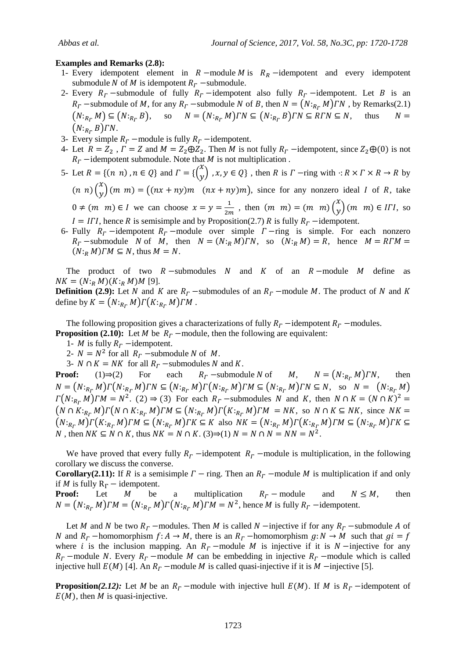#### **Examples and Remarks (2.8):**

- 1- Every idempotent element in  $R$  –module  $M$  is  $R_R$  –idempotent and every idempotent submodule N of M is idempotent  $R_T$  –submodule.
- 2- Every  $R_r$  -submodule of fully  $R_r$  -idempotent also fully  $R_r$  -idempotent. Let B is an  $R_r$  –submodule of M, for any  $R_r$  –submodule N of B, then  $N = (N:_{R_r} M) \cap N$ , by Remarks(2.1)  $(N:_{R_r} M) \subseteq (N:_{R_r} B)$ , so  $N = (N:_{R_r} M) \cap N \subseteq (N:_{R_r} B) \cap N \subseteq R \cap N \subseteq N$ , thus  $N =$  $(N:_{R_r} B) \Gamma N$ .
- 3- Every simple  $R_r$  –module is fully  $R_r$  –idempotent.
- 4- Let  $R = Z_2$ ,  $\Gamma = Z$  and  $M = Z_2 \oplus Z_2$ . Then M is not fully  $R_\Gamma$  -idempotent, since  $Z_2 \oplus (0)$  is not  $R<sub>r</sub>$  -idempotent submodule. Note that *M* is not multiplication .
- 5- Let  $R = \{(n, n), n \in Q\}$  and  $\Gamma = \{\begin{pmatrix} x \\ y \end{pmatrix}$  $\begin{cases} x \\ y \end{cases}$ ,  $x, y \in Q$ , then R is  $\Gamma$  -ring with  $: R \times \Gamma \times R \rightarrow R$  by  $(n n)$  $\binom{x}{y}$  $\binom{x}{y}$   $(m, m) = ((nx + ny)m)(nx + ny)m$ , since for any nonzero ideal *I* of *R*, take  $0 \neq (m \ m) \in I$  we can choose  $x = y = \frac{1}{2m}$  $\frac{1}{2m}$ , then  $(m \ m) = (m \ m)$  $\boldsymbol{\chi}$  $\begin{pmatrix} x \\ y \end{pmatrix}$  (*m* m)  $\in$  IFI, so  $I = I\Gamma I$ , hence R is semisimple and by Proposition(2.7) R is fully  $R_r$  -idempotent.
- 6- Fully  $R_r$  -idempotent  $R_r$  -module over simple  $\Gamma$  -ring is simple. For each nonzero  $R_r$  -submodule N of M, then  $N = (N:_R M) \cap N$ , so  $(N:_R M) = R$ , hence  $M = R \cap M =$  $(N:_{R} M) \Gamma M \subseteq N$ , thus  $M = N$ .

The product of two  $R$ -submodules  $N$  and  $K$  of an  $R$ -module  $M$  define as  $NK = (N:_{R} M)(K:_{R} M)M$  [9].

**Definition** (2.9): Let N and K are  $R_r$  -submodules of an  $R_r$  -module M. The product of N and K define by  $K = (N:_{R_r} M) \Gamma(K:_{R_r} M) \Gamma M$ .

The following proposition gives a characterizations of fully  $R_r$  -idempotent  $R_r$  -modules. **Proposition (2.10):** Let M be  $R_r$  –module, then the following are equivalent:

1- *M* is fully  $R_r$  -idempotent.

2-  $N = N^2$  for all  $R_r$  -submodule N of M.

3-  $N \cap K = NK$  for all  $R_r$  -submodules N and K.

**Proof:** (1) $\Rightarrow$ (2) For each  $R_r$  -submodule N of  $M$ ,  $N = (N:_{R_r} M)TN$ ,  $N = (N:_{R_r} M) \Gamma(N:_{R_r} M) \Gamma N \subseteq (N:_{R_r} M) \Gamma(N:_{R_r} M) \Gamma M \subseteq (N:_{R_r} M) \Gamma N \subseteq N$ , so  $N = (N:_{R_r} M)$  $\Gamma(N:_{R_r}M)\Gamma M = N^2$ . (2)  $\Rightarrow$  (3) For each  $R_r$  -submodules N and K, then  $N \cap K = (N \cap K)^2$  $(N \cap K:_{R_r} M) \Gamma(N \cap K:_{R_r} M) \Gamma M \subseteq (N:_{R_r} M) \Gamma(K:_{R_r} M) \Gamma M = NK$ , so  $N \cap K \subseteq NK$ , since  $NK =$  $(N:_{R_r}M)\Gamma(K:_{R_r}M)\Gamma M \subseteq (N:_{R_r}M)\Gamma K \subseteq K$  also  $NK = (N:_{R_r}M)\Gamma(K:_{R_r}M)\Gamma M \subseteq (N:_{R_r}M)\Gamma K \subseteq K$ N, then  $NK \subseteq N \cap K$ , thus  $NK = N \cap K$ . (3)  $\Rightarrow$  (1)  $N = N \cap N = NN = N^2$ .

We have proved that every fully  $R_r$  -idempotent  $R_r$  -module is multiplication, in the following corollary we discuss the converse.

**Corollary(2.11):** If R is a semisimple  $\Gamma$  – ring. Then an  $R_r$  –module M is multiplication if and only if M is fully  $R_F$  – idempotent.

**Proof:** Let M be a multiplication  $R_r$  module and  $N \leq M$ , then  $N = (N:_{R_r} M) \Gamma M = (N:_{R_r} M) \Gamma (N:_{R_r} M) \Gamma M = N^2$ , hence M is fully  $R_r$  -idempotent.

Let M and N be two  $R_r$  –modules. Then M is called N –injective if for any  $R_r$  –submodule A of N and  $R_r$  -homomorphism  $f: A \to M$ , there is an  $R_r$  -homomorphism  $g: N \to M$  such that  $gi = f$ where *i* is the inclusion mapping. An  $R_r$  –module M is injective if it is  $N$  –injective for any  $R_r$  –module N. Every  $R_r$  –module M can be embedding in injective  $R_r$  –module which is called injective hull  $E(M)$  [4]. An  $R_r$  –module M is called quasi-injective if it is M –injective [5].

**Proposition(2.12):** Let M be an  $R_r$  –module with injective hull  $E(M)$ . If M is  $R_r$  –idempotent of  $E(M)$ , then M is quasi-injective.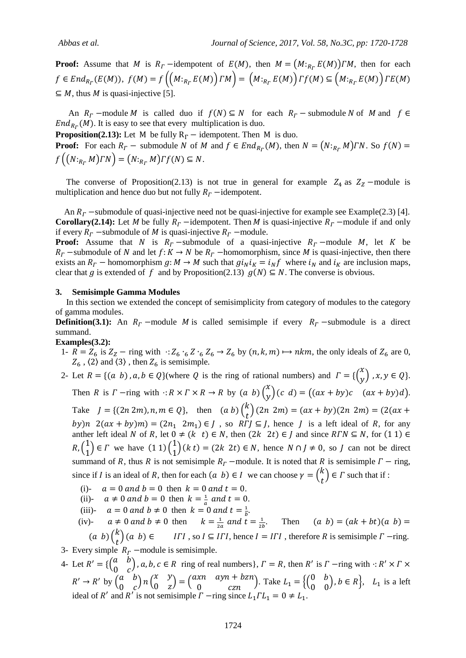**Proof:** Assume that M is  $R<sub>\Gamma</sub>$  -idempotent of  $E(M)$ , then  $M = (M:_{R<sub>\Gamma</sub>} E(M))TM$ , then for each  $f \in End_{R_r}(E(M)), f(M) = f((M:_{R_r}E(M))\Gamma M) = (M:_{R_r}E(M))\Gamma f(M) \subseteq (M:_{R_r}E(M))\Gamma f(M)$  $\subseteq M$ , thus M is quasi-injective [5].

An  $R_r$  –module M is called duo if  $f(N) \subseteq N$  for each  $R_r$  – submodule N of M and  $f \in$  $End_{R_r}(M)$ . It is easy to see that every multiplication is duo.

**Proposition(2.13):** Let M be fully  $R_r$  – idempotent. Then M is duo.

**Proof:** For each  $R_r$  – submodule N of M and  $f \in End_{R_r}(M)$ , then  $N = (N:_{R_r} M)TN$ . So  $f\left((N:_{R_r}M)\Gamma N\right) = (N:_{R_r}M)\Gamma f(N) \subseteq N.$ 

The converse of Proposition(2.13) is not true in general for example  $Z_4$  as  $Z_7$  –module is multiplication and hence duo but not fully  $R_r$  -idempotent.

An  $R_r$  -submodule of quasi-injective need not be quasi-injective for example see Example(2.3) [4]. **Corollary(2.14):** Let M be fully  $R_r$  -idempotent. Then M is quasi-injective  $R_r$  -module if and only if every  $R_T$  -submodule of M is quasi-injective  $R_T$  -module.

**Proof:** Assume that N is  $R_r$  -submodule of a quasi-injective  $R_r$  -module M, let K be  $R_r$  -submodule of N and let  $f: K \to N$  be  $R_r$  -homomorphism, since M is quasi-injective, then there exists an  $R_r$  – homomorphism  $g: M \to M$  such that  $g_i v_{N} = i_N f$  where  $i_N$  and  $i_K$  are inclusion maps, clear that g is extended of f and by Proposition(2.13)  $g(N) \subseteq N$ . The converse is obvious.

#### **3. Semisimple Gamma Modules**

 In this section we extended the concept of semisimplicity from category of modules to the category of gamma modules.

**Definition(3.1):** An  $R_r$  –module M is called semisimple if every  $R_r$  –submodule is a direct summand.

**Examples(3.2):**

1-  $\overline{R} = Z_6$  is  $Z_Z$  - ring with  $Z_6 \cdot_6 Z \cdot_6 Z_6 \rightarrow Z_6$  by  $(n, k, m) \mapsto nkm$ , the only ideals of  $Z_6$  are 0,  $Z_6$ ,  $\langle 2 \rangle$  and  $\langle 3 \rangle$ , then  $Z_6$  is semisimple.

## 2- Let  $R = \{(a, b), a, b \in Q\}$  (where Q is the ring of rational numbers) and  $\Gamma = \{\begin{pmatrix} x \\ y \end{pmatrix}, a, b \in Q\}$  $\begin{cases} x, y \in Q \}. \end{cases}$

Then R is  $\Gamma$  -ring with  $: R \times \Gamma \times R \rightarrow R$  by  $(a, b)$  $\boldsymbol{\chi}$  $\begin{pmatrix} x \\ y \end{pmatrix}$  (c d) = ((ax + by)c (ax + by)d). Take  $J = \{(2n 2m), n, m \in Q\}$ , then  $(a b) {k \choose k}$  $\binom{k}{t}$ by)n  $2(ax + by)m = (2n_1 2m_1) \in J$ , so  $R\overline{I}J \subseteq J$ , hence  $J$  is a left ideal of  $R$ , for any anther left ideal N of R, let  $0 \neq (k^{\prime} t) \in N$ , then  $(2k^{\prime} 2t) \in J$  and since  $RTN \subseteq N$ , for  $(1\ 1) \in$  $R, \binom{1}{4}$  $\begin{pmatrix} 1 \\ 1 \end{pmatrix} \in \Gamma$  we have  $(1\ 1) \begin{pmatrix} 1 \\ 1 \end{pmatrix}$  $\binom{1}{1}$  (k t) = (2k 2t)  $\in$  N, hence  $N \cap J \neq 0$ , so J can not be direct summand of R, thus R is not semisimple  $R_r$  –module. It is noted that R is semisimple  $\Gamma$  – ring,

- since if I is an ideal of R, then for each  $(a, b) \in I$  we can choose  $\gamma = \begin{pmatrix} k & b \\ c & d \end{pmatrix}$  $\binom{n}{t} \in \Gamma$  such that if :
	- (i)-  $a = 0$  and  $b = 0$  then  $k = 0$  and  $t = 0$ .
- (ii)-  $a \neq 0$  and  $b = 0$  then  $k = \frac{1}{a}$  $\frac{1}{a}$  and  $t=0$ .
- (iii)-  $a = 0$  and  $b \neq 0$  then  $k = 0$  and  $t = \frac{1}{b}$  $\frac{1}{b}$ .

(iv)-  $a \neq 0$  and  $b \neq 0$  then  $k = \frac{1}{2}$  $\frac{1}{2a}$  and  $t=\frac{1}{2b}$  $\frac{1}{2b}$ . Then  $(a\;b)\binom{k}{k}$  $\binom{k}{t}$   $(a \ b) \in I\Gamma I$ , so  $I \subseteq I\Gamma I$ , hence  $I = I\Gamma I$ , therefore R is semisimple  $\Gamma$  -ring.

- 3- Every simple  $R_r$  –module is semisimple.
- 4- Let  $R' = \begin{cases} a & a \end{cases}$  $\begin{pmatrix} a & b \\ 0 & c \end{pmatrix}$ ,  $a, b, c \in R$  ring of real numbers},  $\Gamma = R$ , then  $R'$  is  $\Gamma$  -ring with  $: R'$  $R' \rightarrow R'$  by  $\begin{pmatrix} a \\ 0 \end{pmatrix}$  $\begin{pmatrix} a & b \\ 0 & c \end{pmatrix} n \begin{pmatrix} x \\ 0 \end{pmatrix}$  $\begin{pmatrix} x & y \\ 0 & z \end{pmatrix} = \begin{pmatrix} a & b \\ c & d \end{pmatrix}$  $\begin{pmatrix} xn & ayn + bzn \\ 0 & czn \end{pmatrix}$ . Take  $L_1 = \begin{cases} \begin{pmatrix} 0 \\ 0 \end{pmatrix}$  $\begin{pmatrix} 0 & b \\ 0 & 0 \end{pmatrix}$ ,  $b \in R$ ,  $L_1$  is a left ideal of R' and R' is not semisimple  $\overline{\Gamma}$  -ring since  $L_1 \Gamma L_1 = 0 \neq L_1$ .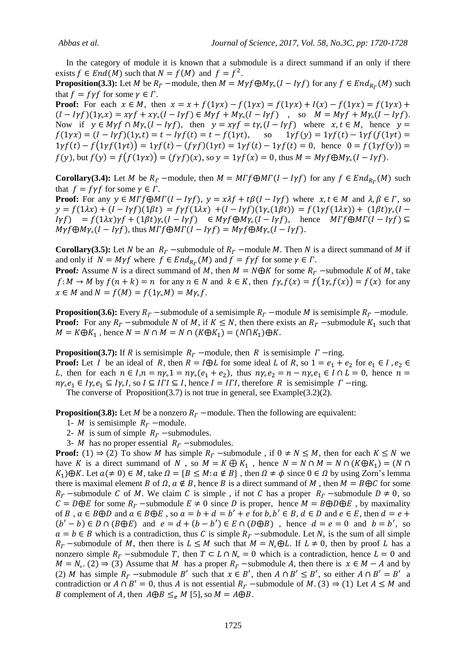In the category of module it is known that a submodule is a direct summand if an only if there exists  $f \in End(M)$  such that  $N = f(M)$  and  $f = f^2$ .

**Proposition(3.3):** Let M be  $R_r$  –module, then  $M = M\gamma f \bigoplus M\gamma_s (I - I\gamma f)$  for any  $f \in End_{R_r}(M)$  such that  $f = f\gamma f$  for some  $\gamma \in \Gamma$ .

**Proof:** For each  $x \in M$ , then  $x = x + f(1\gamma x) - f(1\gamma x) = f(1\gamma x) + I(x) - f(1\gamma x) = f(1\gamma x) + I(x)$  $(I - I\gamma f)(1\gamma_x x) = x\gamma f + x\gamma_x (I - I\gamma f) \in M\gamma f + M\gamma_x (I - I\gamma f)$ , so  $M = M\gamma f + M\gamma_x (I - I\gamma f)$ . Now if  $y \in M\gamma f \cap M\gamma_s (I - I\gamma f)$ , then  $y = x\gamma f = t\gamma_s (I - I\gamma f)$  where  $x, t \in M$ , hence  $y =$  $f(1\gamma x) = (I - I\gamma f)(1\gamma_t t) = t - I\gamma f(t) = t - f(1\gamma t)$ , so 1  $1\gamma f(t) - f(1\gamma f(1\gamma t)) = 1\gamma f(t) - (f\gamma f)(1\gamma t) = 1\gamma f(t) - 1\gamma f(t) = 0$ , hence  $0 = f(1\gamma f(y)) =$  $f(y)$ , but  $f(y) = f(f(1\gamma x)) = (f\gamma f)(x)$ , so  $y = 1\gamma f(x) = 0$ , thus  $M = M\gamma f \bigoplus M\gamma_{0}(I - I\gamma f)$ .

**Corollary(3.4):** Let M be  $R_r$  –module, then  $M = M \Gamma f \bigoplus M \Gamma (I - I \gamma f)$  for any  $f \in End_{R_r}(M)$  such that  $f = f\gamma f$  for some  $\gamma \in \Gamma$ .

**Proof:** For any  $y \in M \Gamma f \bigoplus M \Gamma (I - I \gamma f)$ ,  $y = x \lambda f + t \beta (I - I \gamma f)$  where  $x, t \in M$  and  $\lambda, \beta \in \Gamma$ , so  $y = f(1\lambda x) + (I - I\gamma f)(1\beta t) = f\gamma f(1\lambda x) + (I - I\gamma f)(1\gamma_0(1\beta t)) = f(1\gamma f(1\lambda x)) + (1\beta t)\gamma_0(I I \gamma f$  =  $f(1\lambda x)\gamma f + (1\beta t)\gamma_{0}(I-I\gamma f)$   $\in M\gamma f \oplus M\gamma_{0}(I-I\gamma f)$ , hence  $M\Gamma f \oplus M\Gamma (I-I\gamma f) \subseteq$  $M\gamma f \bigoplus M\gamma_{\circ}(I - I\gamma f)$ , thus  $M\Gamma f \bigoplus M\Gamma (I - I\gamma f) = M\gamma f \bigoplus M\gamma_{\circ}(I - I\gamma f)$ .

**Corollary(3.5):** Let N be an  $R_r$  -submodule of  $R_r$  -module M. Then N is a direct summand of M if and only if  $N = M\gamma f$  where  $f \in End_{R_r}(M)$  and  $f = f\gamma f$  for some  $\gamma \in \Gamma$ .

**Proof**: Assume N is a direct summand of M, then  $M = N \oplus K$  for some  $R_r$  -submodule K of M, take  $f: M \to M$  by  $f(n+k) = n$  for any  $n \in N$  and  $k \in K$ , then  $f\gamma_{\circ} f(x) = f(1\gamma_{\circ} f(x)) = f(x)$  for any  $x \in M$  and  $N = f(M) = f(1\gamma M) = M\gamma M$ .

**Proposition(3.6):** Every  $R_r$  –submodule of a semisimple  $R_r$  –module M is semisimple  $R_r$  –module. **Proof:** For any  $R_r$  -submodule N of M, if  $K \leq N$ , then there exists an  $R_r$  -submodule  $K_1$  such that  $M = K \oplus K_1$ , hence  $N = N \cap M = N \cap (K \oplus K_1) = (N \cap K_1) \oplus K$ .

**Proposition(3.7):** If R is semisimple  $R_r$  –module, then R is semisimple  $\Gamma$  –ring. **Proof:** Let I be an ideal of R, then  $R = I \oplus L$  for some ideal L of R, so  $1 = e_1 + e_2$  for  $e_1 \in I$ ,  $e_2 \in I$ L, then for each  $n \in I, n = ny_0 \cdot 1 = ny_0 (e_1 + e_2)$ , thus  $ny_0 e_2 = n - ny_0 e_1 \in I \cap L = 0$ , hence  $n =$  $n\gamma_{\rm e}e_1 \in I\gamma_{\rm e}e_1 \subseteq I\gamma_{\rm e}I$ , so  $I \subseteq I\Gamma I \subseteq I$ , hence  $I = I\Gamma I$ , therefore R is semisimple  $\Gamma$  -ring.

The converse of Proposition(3.7) is not true in general, see Example(3.2)(2).

**Proposition(3.8):** Let M be a nonzero  $R_r$  –module. Then the following are equivalent:

1- *M* is semisimple  $R_r$  –module.

- 2- *M* is sum of simple  $R_r$  -submodules.
- 3- *M* has no proper essential  $R_r$  -submodules.

**Proof:** (1)  $\Rightarrow$  (2) To show M has simple  $R_r$  -submodule, if  $0 \neq N \leq M$ , then for each  $K \leq N$  we have K is a direct summand of N, so  $M = K \bigoplus K_1$ , hence  $N = N \cap M = N \cap (K \bigoplus K_1) = (N \cap$  $K_1$ ) $\bigoplus K$ . Let  $a \neq 0$ )  $\in M$ , take  $\Omega = \{ B \leq M : a \notin B \}$ , then  $\Omega \neq \emptyset$  since  $0 \in \Omega$  by using Zorn's lemma there is maximal element B of  $\Omega$ ,  $a \notin B$ , hence B is a direct summand of M, then  $M = B \oplus C$  for some  $R_r$  -submodule C of M. We claim C is simple, if not C has a proper  $R_r$  -submodule  $D \neq 0$ , so  $\mathcal{C} = D \oplus E$  for some  $R_F$  -submodule  $E \neq 0$  since D is proper, hence  $M = B \oplus D \oplus E$ , by maximality of B,  $a \in B \oplus D$  and  $a \in B \oplus E$ , so  $a = b + d = b' + e$  for  $b, b' \in B$ ,  $d \in D$  and  $e \in E$ , then  $(b'-b) \in D \cap (B \oplus E)$  and  $e = d + (b - b') \in E \cap (D \oplus B)$ , hence  $d = e = 0$  and  $b = b'$ , so  $a = b \in B$  which is a contradiction, thus C is simple  $R_r$  –submodule. Let  $N_o$  is the sum of all simple  $R_r$  -submodule of M, then there is  $L \leq M$  such that  $M = N_o \oplus L$ . If  $L \neq 0$ , then by proof L has a nonzero simple  $R_r$  -submodule T, then  $T \subset L \cap N_s = 0$  which is a contradiction, hence  $L = 0$  and  $M = N_0$ . (2)  $\Rightarrow$  (3) Assume that M has a proper  $R_r$  -submodule A, then there is  $x \in M - A$  and by (2) M has simple  $R_r$  -submodule B' such that  $x \in B'$ , then  $A \cap B' \le B'$ , so either  $A \cap B' = B'$  a contradiction or  $A \cap B' = 0$ , thus A is not essential  $R_r$  -submodule of M. (3)  $\Rightarrow$  (1) Let  $A \leq M$  and B complement of A, then  $A \oplus B \leq_e M$  [5], so  $M = A \oplus B$ .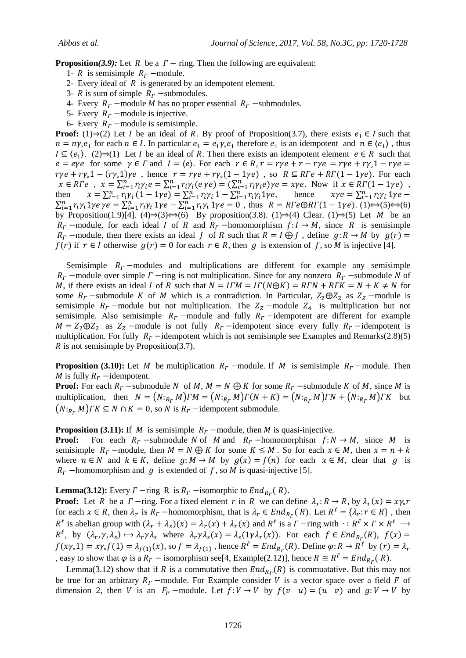**Proposition(3.9):** Let R be a  $\Gamma$  – ring. Then the following are equivalent:

- 1- R is semisimple  $R_r$  –module.
- 2- Every ideal of  $R$  is generated by an idempotent element.
- 3- R is sum of simple  $R_r$  -submodules.
- 4- Every  $R_r$  –module M has no proper essential  $R_r$  –submodules.
- 5- Every  $R_r$  –module is injective.
- 6- Every  $R_r$  –module is semisimple.

**Proof:** (1) $\Rightarrow$ (2) Let I be an ideal of R. By proof of Proposition(3.7), there exists  $e_1 \in I$  such that  $n = ny_e e_1$  for each  $n \in I$ . In particular  $e_1 = e_1 y_e e_1$  therefore  $e_1$  is an idempotent and  $n \in \langle e_1 \rangle$ , thus  $I \subseteq \langle e_1 \rangle$ . (2)  $\Rightarrow$  (1) Let I be an ideal of R. Then there exists an idempotent element  $e \in R$  such that  $e = eye$  for some  $\gamma \in \Gamma$  and  $I = \langle e \rangle$ . For each  $r \in R$ ,  $r = r\gamma e + r\gamma e = r\gamma e + r\gamma e$ ,  $1 - r\gamma e = r\gamma e$  $r\gamma e + r\gamma_0 1 - (r\gamma_0 1)\gamma e$ , hence  $r = r\gamma e + r\gamma_0 (1 - 1\gamma e)$ , so  $R \subseteq R\Gamma e + R\Gamma(1 - 1\gamma e)$ . For each  $x \in R\Gamma e$ ,  $x = \sum_{i=1}^n r_i \gamma_i e = \sum_{i=1}^n r_i \gamma_i (e \gamma e) = (\sum_{i=1}^n r_i \gamma_i e) \gamma e = x \gamma e$ . Now if  $x \in R\Gamma(1-1)\gamma e$ , then  $x = \sum_{i=1}^n r_i \gamma_i (1 - 1\gamma e) = \sum_{i=1}^n r_i \gamma_i 1 - \sum_{i=1}^n r_i \gamma_i 1\gamma e$ , hence  $\chi \gamma e = \sum_{i=1}^n r_i \gamma_i 1\gamma e - \sum_{i=1}^n r_i \gamma_i 1\gamma e - \sum_{i=1}^n r_i \gamma_i 1\gamma e = 0$ , thus  $R = R \Gamma e \bigoplus RT(1 - 1\gamma e)$ . (1)  $\Rightarrow$  (5)  $\Rightarrow$  (6) by Proposition(1.9)[4]. (4) $\Rightarrow$ (3) $\leftrightarrow$ (6) By proposition(3.8). (1) $\Rightarrow$ (4) Clear. (1) $\Rightarrow$ (5) Let M be an  $R_r$  -module, for each ideal I of R and  $R_r$  -homomorphism  $f: I \rightarrow M$ , since R is semisimple  $R_r$  –module, then there exists an ideal *J* of R such that  $R = I \bigoplus J$ , define  $g: R \to M$  by  $g(r) =$  $f(r)$  if  $r \in I$  otherwise  $g(r) = 0$  for each  $r \in R$ , then g is extension of f, so M is injective [4].

Semisimple  $R_r$  -modules and multiplications are different for example any semisimple  $R_r$  –module over simple  $\Gamma$  –ring is not multiplication. Since for any nonzero  $R_r$  –submodule N of M, if there exists an ideal I of R such that  $N = ITM = I\Gamma(N\oplus K) = RTN + RTK = N + K \neq N$  for some  $R_r$  -submodule K of M which is a contradiction. In Particular,  $Z_2 \oplus Z_2$  as  $Z_2$  -module is semisimple  $R_r$  –module but not multiplication. The  $Z_z$  –module  $Z_4$  is multiplication but not semisimple. Also semisimple  $R_r$  –module and fully  $R_r$  –idempotent are different for example  $M = Z_2 \oplus Z_2$  as  $Z_Z$  -module is not fully  $R_T$  -idempotent since every fully  $R_T$  -idempotent is multiplication. For fully  $R_r$  -idempotent which is not semisimple see Examples and Remarks(2.8)(5)  $\overline{R}$  is not semisimple by Proposition(3.7).

**Proposition (3.10):** Let M be multiplication  $R_r$  –module. If M is semisimple  $R_r$  –module. Then M is fully  $R_r$  -idempotent.

**Proof:** For each  $R_r$  –submodule N of M,  $M = N \bigoplus K$  for some  $R_r$  –submodule K of M, since M is multiplication, then  $N = ( N:_{R_r} M ) \Gamma M = ( N:_{R_r} M ) \Gamma ( N + K ) = ( N:_{R_r} M ) \Gamma N + ( N:_{R_r} M ) \Gamma K$  but  $(N:_{R_r} M)$   $TK \subseteq N \cap K = 0$ , so N is  $R_r$  -idempotent submodule.

**Proposition (3.11):** If M is semisimple  $R_r$  –module, then M is quasi-injective.

**Proof:** For each  $R_r$  -submodule N of M and  $R_r$  -homomorphism  $f: N \to M$ , since M is semisimple  $R_r$  –module, then  $M = N \bigoplus K$  for some  $K \leq M$ . So for each  $x \in M$ , then  $x = n + k$ where  $n \in N$  and  $k \in K$ , define  $g: M \to M$  by  $g(x) = f(n)$  for each  $x \in M$ , clear that g is  $R_r$  –homomorphism and g is extended of f, so M is quasi-injective [5].

**Lemma(3.12):** Every  $\Gamma$  -ring R is  $R_\Gamma$  -isomorphic to  $End_{R_\Gamma}(R)$ .

**Proof:** Let R be a  $\Gamma$  -ring. For a fixed element r in R we can define  $\lambda_r: R \to R$ , by  $\lambda_r$ for each  $x \in R$ , then  $\lambda_r$  is  $R_r$  -homomorphism, that is  $\lambda_r \in End_{R_r}(R)$ . Let  $R^{\ell} = {\lambda_r : r \in R}$ , then  $R^{\ell}$  is abelian group with  $(\lambda_r + \lambda_s)(x) = \lambda_r(x) + \lambda_r(x)$  and  $R^{\ell}$  is a  $\Gamma$  -ring with  $\cdot: R^{\ell} \times \Gamma \times R^{\ell}$  $R^{\ell}$ , by  $(\lambda_r, \gamma, \lambda_s) \mapsto \lambda_r \gamma \lambda_s$  where  $\lambda_r \gamma \lambda_s(x) = \lambda_s(1 \gamma \lambda_r(x))$ . For each  $f \in End_{R_r}(R)$ ,  $f(x\gamma_0 1) = x\gamma_0 f(1) = \lambda_{f(1)}(x)$ , so  $f = \lambda_{f(1)}$ , hence  $R^{\ell} = End_{R_r}(R)$ . Define  $\varphi: R \to R^{\ell}$  by , easy to show that  $\varphi$  is a  $R_r$  – isomorphism see[4, Example(2.12)], hence  $R \cong R^{\ell} = End_{R_r}(R)$ .

Lemma(3.12) show that if R is a commutative then  $End_{R_r}(R)$  is commuatative. But this may not be true for an arbitrary  $R_r$  –module. For Example consider V is a vector space over a field F of dimension 2, then V is an  $F_F$  -module. Let  $f: V \to V$  by  $f(v \ u) = (u \ v)$  and  $g: V \to V$  by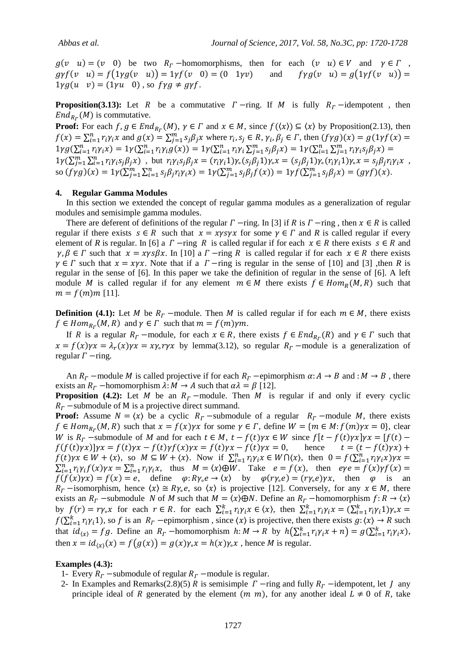$g(v \ u) = (v \ 0)$  be two  $R_r$ -homomorphisms, then for each  $(v \ u) \in V$  and  $\gamma \in \Gamma$ ,  $gyf(v \ u) = f(1 \gamma g(v \ u)) = 1 \gamma f(v \ 0) = (0 \ 1 \gamma v)$  and  $f \gamma g(v \ u) = g(1 \gamma f(v \ u)) =$  $1 \gamma g(u \quad v) = (1 \gamma u \quad 0)$ , so  $f \gamma g \neq g \gamma f$ .

**Proposition(3.13):** Let R be a commutative  $\Gamma$ -ring. If M is fully  $R_{\Gamma}$ -idempotent, then  $End_{R_r}(M)$  is commutative.

**Proof:** For each  $f, g \in End_{R_r}(M)$ ,  $\gamma \in \Gamma$  and  $x \in M$ , since  $f(\langle x \rangle) \subseteq \langle x \rangle$  by Proposition(2.13), then  $f(x) = \sum_{i=1}^{n} r_i \gamma_i x$  and  $g(x) = \sum_{j=1}^{m} s_j \beta_j x$  where  $r_i, s_j \in R$ ,  $\gamma_i, \beta_j \in T$ , then  $1 \gamma g(\sum_{i=1}^n r_i \gamma_i x) = 1 \gamma(\sum_{i=1}^n r_i \gamma_i g(x)) = 1 \gamma(\sum_{i=1}^n r_i \gamma_i \sum_{j=1}^m s_j \beta_j x) = 1 \gamma(\sum_{i=1}^n \sum_{j=1}^m r_i \gamma_i s_j \beta_j x)$  $1\gamma(\sum_{j=1}^m\sum_{i=1}^nr_i\gamma_is_j\beta_jx)$ , but  $r_i\gamma_is_j\beta_jx=(r_i\gamma_i1)\gamma_s(s_j\beta_j1)\gamma_sx=(s_j\beta_j1)\gamma_s(r_i\gamma_i1)\gamma_sx=s_j\beta_jr_i\gamma_ix$ , so  $(f \gamma g)(x) = 1 \gamma (\sum_{j=1}^m \sum_{i=1}^n s_j \beta_j r_i \gamma_i x) = 1 \gamma (\sum_{j=1}^m s_j \beta_j f(x)) = 1 \gamma f(\sum_{j=1}^m s_j \beta_j x) = (g \gamma f)(x)$ .

## **4. Regular Gamma Modules**

 In this section we extended the concept of regular gamma modules as a generalization of regular modules and semisimple gamma modules.

There are deferent of definitions of the regular  $\Gamma$  -ring. In [3] if R is  $\Gamma$  -ring, then  $x \in R$  is called regular if there exists  $s \in R$  such that  $x = xysyx$  for some  $\gamma \in \Gamma$  and R is called regular if every element of *R* is regular. In [6] a  $\Gamma$  -ring *R* is called regular if for each  $x \in R$  there exists  $s \in R$  and  $\gamma, \beta \in \Gamma$  such that  $x = xyz\beta x$ . In [10] a  $\Gamma$  -ring R is called regular if for each  $x \in R$  there exists  $\gamma \in \Gamma$  such that  $x = x \gamma x$ . Note that if a  $\Gamma$  -ring is regular in the sense of [10] and [3] ,then *R* is regular in the sense of [6]. In this paper we take the definition of regular in the sense of [6]. A left module M is called regular if for any element  $m \in M$  there exists  $f \in Hom_R(M, R)$  such that  $m = f(m)m$  [11].

**Definition** (4.1): Let M be  $R_r$  –module. Then M is called regular if for each  $m \in M$ , there exists  $f \in Hom_{R_r}(M, R)$  and  $\gamma \in \Gamma$  such that  $m = f(m)\gamma m$ .

If R is a regular  $R_r$  –module, for each  $x \in R$ , there exists  $f \in End_{R_r}(R)$  and  $\gamma \in \Gamma$  such that  $x = f(x)\gamma x = \lambda_r(x)\gamma x = xy_0 \gamma x$  by lemma(3.12), so regular  $R_r$  –module is a generalization of regular  $\Gamma$  -ring.

An  $R_r$  –module M is called projective if for each  $R_r$  –epimorphism  $\alpha: A \to B$  and  $: M \to B$ , there exists an  $R_r$  –homomorphism  $\lambda: M \to A$  such that  $\alpha \lambda = \beta$  [12].

**Proposition (4.2):** Let M be an  $R_r$  –module. Then M is regular if and only if every cyclic  $R<sub>r</sub>$  -submodule of M is a projective direct summand.

**Proof:** Assume  $N = \langle x \rangle$  be a cyclic  $R_r$  -submodule of a regular  $R_r$  -module M, there exists  $f \in Hom_{R_r}(M, R)$  such that  $x = f(x)\gamma x$  for some  $\gamma \in \Gamma$ , define  $W = \{m \in M : f(m)\gamma x = 0\}$ , clear W is  $R_r$  –submodule of M and for each  $t \in M$ ,  $t - f(t)\gamma x \in W$  since  $f[t - f(t)\gamma x]\gamma x = [f(t) - f(t)]\gamma x$  $f(f(t)\gamma x)|\gamma x = f(t)\gamma x - f(t)\gamma f(x)\gamma x = f(t)\gamma x - f(t)\gamma x = 0$ , hence  $t = (t - f(t)\gamma x) +$  $f(t)\gamma x \in W + \langle x \rangle$ , so  $M \subseteq W + \langle x \rangle$ . Now if  $\sum_{i=1}^{n} r_i \gamma_i x \in W \cap \langle x \rangle$ , then  $0 = f(\sum_{i=1}^{n} r_i \gamma_i x)$  $\sum_{i=1}^{n} r_i \gamma_i f(x) \gamma x = \sum_{i=1}^{n} r_i \gamma_i x$ , thus  $M = \langle x \rangle \oplus W$ . Take  $e = f(x)$ , then  $f(f(x)\gamma x) = f(x) = e$ , define  $\varphi: R\gamma \to \langle x \rangle$  by  $\varphi(r\gamma \to e) = (r\gamma \to e)\gamma x$ , then  $\varphi$  is an  $R_r$  -isomorphism, hence  $\langle x \rangle \cong R\gamma_e e$ , so  $\langle x \rangle$  is projective [12]. Conversely, for any  $x \in M$ , there exists an  $R_r$  -submodule N of M such that  $M = \langle x \rangle \oplus N$ . Define an  $R_r$  -homomorphism  $f: R \to \langle x \rangle$ by  $f(r) = r\gamma_0 x$  for each  $r \in R$ . for each  $\sum_{i=1}^k r_i \gamma_i x \in \langle x \rangle$ , then  $\sum_{i=1}^k r_i \gamma_i x = (\sum_{i=1}^k r_i)^2$  $f(\sum_{i=1}^k r_i \gamma_i)$ , so f is an  $R_r$  -epimorphism, since  $\langle x \rangle$  is projective, then there exists  $g: \langle x \rangle \to R$  such that  $id_{(x)} = fg$ . Define an  $R_r$  -homomorphism  $h: M \to R$  by  $h(\sum_{i=1}^{k} r_i \gamma_i x + n) = g(\sum_{i=1}^{k} r_i \gamma_i x)$ , then  $x = id_{(x)}(x) = f(g(x)) = g(x)\gamma_{\circ}x = h(x)\gamma_{\circ}x$ , hence *M* is regular.

#### **Examples (4.3):**

- 1- Every  $R_r$  –submodule of regular  $R_r$  –module is regular.
- 2- In Examples and Remarks(2.8)(5) R is semisimple  $\Gamma$  -ring and fully  $R_\Gamma$  -idempotent, let  $\Gamma$  any principle ideal of R generated by the element  $(m, m)$ , for any another ideal  $L \neq 0$  of R, take